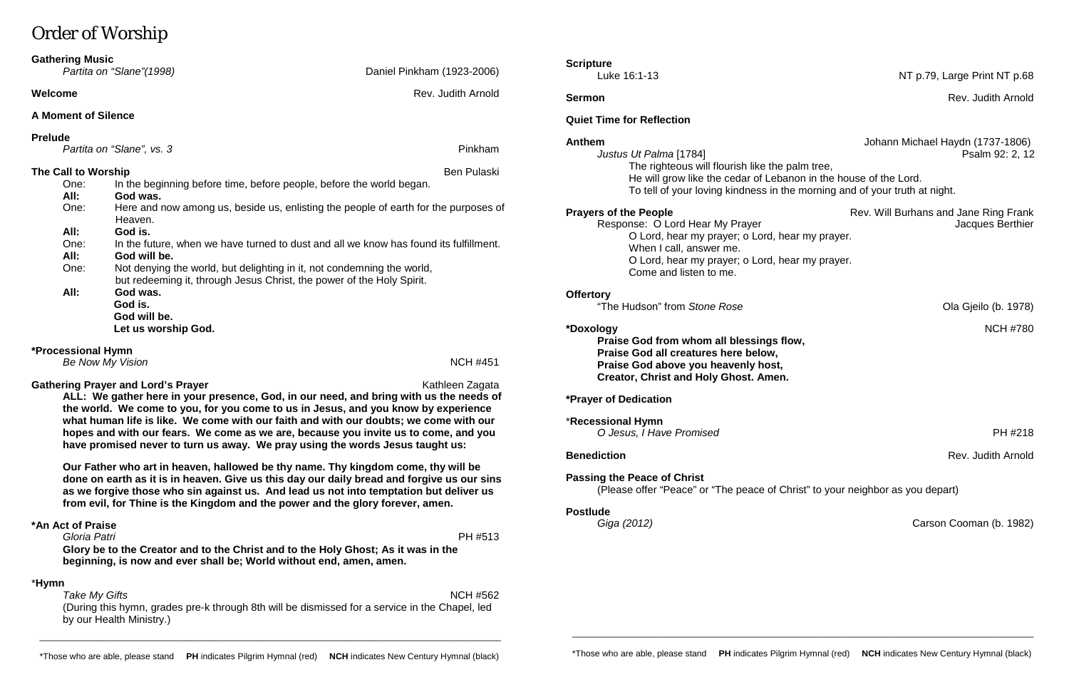# Order of Worship

*Take My Gifts* NCH #562 (During this hymn, grades pre-k through 8th will be dismissed for a service in the Chapel, led by our Health Ministry.)

**ALL: We gather here in your presence, God, in our need, and bring with us the needs of the world. We come to you, for you come to us in Jesus, and you know by experience what human life is like. We come with our faith and with our doubts; we come with our hopes and with our fears. We come as we are, because you invite us to come, and you have promised never to turn us away. We pray using the words Jesus taught us:**

| <b>Gathering Music</b>                                             | Partita on "Slane" (1998)                                                                                                                       | Daniel Pinkham (1923-2006)       | <b>Scripture</b><br>Luke 16:1-13                                                                                                               | NT p.79, Large Print NT p.68                              |
|--------------------------------------------------------------------|-------------------------------------------------------------------------------------------------------------------------------------------------|----------------------------------|------------------------------------------------------------------------------------------------------------------------------------------------|-----------------------------------------------------------|
| Welcome                                                            |                                                                                                                                                 | Rev. Judith Arnold               | <b>Sermon</b>                                                                                                                                  | Rev. Judith Arnold                                        |
| <b>A Moment of Silence</b>                                         |                                                                                                                                                 | <b>Quiet Time for Reflection</b> |                                                                                                                                                |                                                           |
| <b>Prelude</b><br>Partita on "Slane", vs. 3<br>The Call to Worship |                                                                                                                                                 | Pinkham<br>Ben Pulaski           | <b>Anthem</b><br>Justus Ut Palma [1784]<br>The righteous will flourish like the palm tree,                                                     | Johann Michael Haydn (1737-1806)<br>Psalm 92: 2, 12       |
| One:<br>All:                                                       | In the beginning before time, before people, before the world began.<br>God was.                                                                |                                  | He will grow like the cedar of Lebanon in the house of the Lord.<br>To tell of your loving kindness in the morning and of your truth at night. |                                                           |
| One:                                                               | Here and now among us, beside us, enlisting the people of earth for the purposes of<br>Heaven.                                                  |                                  | <b>Prayers of the People</b><br>Response: O Lord Hear My Prayer                                                                                | Rev. Will Burhans and Jane Ring Frank<br>Jacques Berthier |
| All:<br>One:<br>All:                                               | God is.<br>In the future, when we have turned to dust and all we know has found its fulfillment.<br>God will be.                                |                                  | O Lord, hear my prayer; o Lord, hear my prayer.<br>When I call, answer me.<br>O Lord, hear my prayer; o Lord, hear my prayer.                  |                                                           |
| One:                                                               | Not denying the world, but delighting in it, not condemning the world,<br>but redeeming it, through Jesus Christ, the power of the Holy Spirit. |                                  | Come and listen to me.                                                                                                                         |                                                           |
| All:                                                               | God was.<br>God is.<br>God will be.                                                                                                             |                                  | <b>Offertory</b><br>"The Hudson" from Stone Rose                                                                                               | Ola Gjeilo (b. 1978)                                      |
|                                                                    | Let us worship God.                                                                                                                             |                                  | *Doxology<br>Praise God from whom all blessings flow,                                                                                          | <b>NCH #780</b>                                           |
| *Processional Hymn<br><b>NCH #451</b><br>Be Now My Vision          |                                                                                                                                                 |                                  | Praise God all creatures here below,<br>Praise God above vou heavenly host.                                                                    |                                                           |

#### **Gathering Prayer and Lord's Prayer** Mathleen Zagata Kathleen Zagata

**blessings flow, Pre below, Praise Boot** above **y Creator, Christ and Holy Ghost. Amen.**

**Our Father who art in heaven, hallowed be thy name. Thy kingdom come, thy will be done on earth as it is in heaven. Give us this day our daily bread and forgive us our sins as we forgive those who sin against us. And lead us not into temptation but deliver us from evil, for Thine is the Kingdom and the power and the glory forever, amen.**

#### **\*An Act of Praise**

*Gloria Patri* PH #513 **Glory be to the Creator and to the Christ and to the Holy Ghost; As it was in the beginning, is now and ever shall be; World without end, amen, amen.**

#### \***Hymn**

**Benediction** Rev. Judith Arnold Rev. Judith Arnold Rev. Judith Arnold Rev. Judith Arnold Rev. Judith Arnold Rev. 3

**\*Prayer of Dedication**

\***Recessional Hymn** *O Jesus, I Have Promised* PH #218

**Passing the Peace of Christ** (Please offer "Peace" or "The peace of Christ" to your neighbor as you depart)

#### **Postlude**

*Giga (2012)* Carson Cooman (b. 1982)

\_\_\_\_\_\_\_\_\_\_\_\_\_\_\_\_\_\_\_\_\_\_\_\_\_\_\_\_\_\_\_\_\_\_\_\_\_\_\_\_\_\_\_\_\_\_\_\_\_\_\_\_\_\_\_\_\_\_\_\_\_\_\_\_\_\_\_\_\_\_\_\_\_\_\_\_\_\_\_\_\_\_\_\_\_\_\_\_\_\_\_\_\_\_\_

\*Those who are able, please stand **PH** indicates Pilgrim Hymnal (red) **NCH** indicates New Century Hymnal (black)

\_\_\_\_\_\_\_\_\_\_\_\_\_\_\_\_\_\_\_\_\_\_\_\_\_\_\_\_\_\_\_\_\_\_\_\_\_\_\_\_\_\_\_\_\_\_\_\_\_\_\_\_\_\_\_\_\_\_\_\_\_\_\_\_\_\_\_\_\_\_\_\_\_\_\_\_\_\_\_\_\_\_\_\_\_\_\_\_\_\_\_\_\_\_\_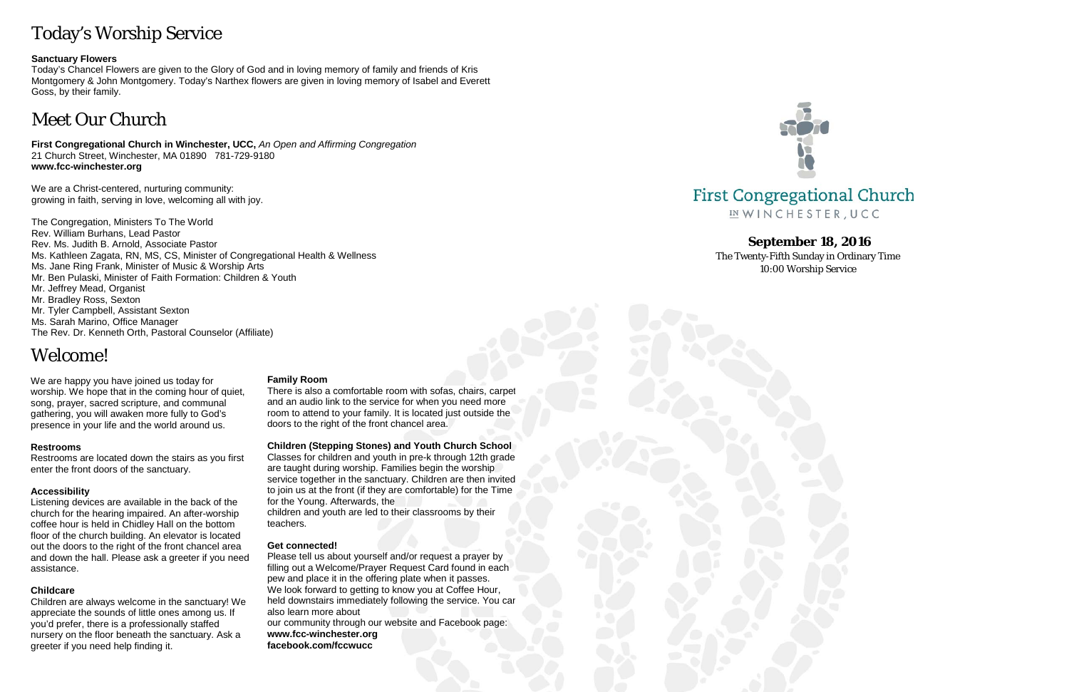# Today's Worship Service

#### **Sanctuary Flowers**

Today's Chancel Flowers are given to the Glory of God and in loving memory of family and friends of Kris Montgomery & John Montgomery. Today's Narthex flowers are given in loving memory of Isabel and Everett Goss, by their family.

# Meet Our Church

**First Congregational Church in Winchester, UCC,** *An Open and Affirming Congregation* 21 Church Street, Winchester, MA 01890 781-729-9180 **www.fcc-winchester.org**

We are a Christ-centered, nurturing community: growing in faith, serving in love, welcoming all with joy.

The Congregation, Ministers To The World Rev. William Burhans, Lead Pastor Rev. Ms. Judith B. Arnold, Associate Pastor Ms. Kathleen Zagata, RN, MS, CS, Minister of Congregational Health & Wellness Ms. Jane Ring Frank, Minister of Music & Worship Arts Mr. Ben Pulaski, Minister of Faith Formation: Children & Youth Mr. Jeffrey Mead, Organist Mr. Bradley Ross, Sexton Mr. Tyler Campbell, Assistant Sexton Ms. Sarah Marino, Office Manager The Rev. Dr. Kenneth Orth, Pastoral Counselor (Affiliate)

## Welcome!

We are happy you have joined us today for worship. We hope that in the coming hour of quiet, song, prayer, sacred scripture, and communal gathering, you will awaken more fully to God's presence in your life and the world around us.

#### **Restrooms**

Restrooms are located down the stairs as you first enter the front doors of the sanctuary.

#### **Accessibility**

Listening devices are available in the back of the church for the hearing impaired. An after-worship coffee hour is held in Chidley Hall on the bottom floor of the church building. An elevator is located out the doors to the right of the front chancel area and down the hall. Please ask a greeter if you need assistance.

#### **Childcare**

Children are always welcome in the sanctuary! We appreciate the sounds of little ones among us. If you'd prefer, there is a professionally staffed nursery on the floor beneath the sanctuary. Ask a greeter if you need help finding it.

#### **Family Room**

There is also a comfortable room with sofas, chairs, carpet and an audio link to the service for when you need more room to attend to your family. It is located just outside the doors to the right of the front chancel area.

#### **Children (Stepping Stones) and Youth Church School**

Classes for children and youth in pre-k through 12th grade are taught during worship. Families begin the worship service together in the sanctuary. Children are then invited to join us at the front (if they are comfortable) for the Time for the Young. Afterwards, the

children and youth are led to their classrooms by their teachers.

#### **Get connected!**

Please tell us about yourself and/or request a prayer by filling out a Welcome/Prayer Request Card found in each pew and place it in the offering plate when it passes. We look forward to getting to know you at Coffee Hour, held downstairs immediately following the service. You can also learn more about

our community through our website and Facebook page: **www.fcc-winchester.org facebook.com/fccwucc**



### **First Congregational Church** IN WINCHESTER, UCC

### **September 18, 2016**

The Twenty-Fifth Sunday in Ordinary Time 10:00 Worship Service